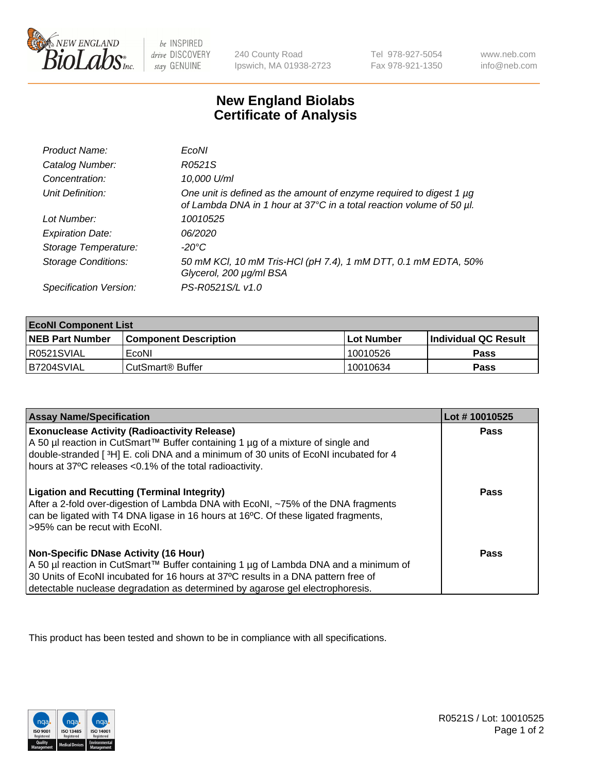

 $be$  INSPIRED drive DISCOVERY stay GENUINE

240 County Road Ipswich, MA 01938-2723 Tel 978-927-5054 Fax 978-921-1350 www.neb.com info@neb.com

## **New England Biolabs Certificate of Analysis**

| Product Name:              | EcoNI                                                                                                                                       |
|----------------------------|---------------------------------------------------------------------------------------------------------------------------------------------|
| Catalog Number:            | R0521S                                                                                                                                      |
| Concentration:             | 10,000 U/ml                                                                                                                                 |
| Unit Definition:           | One unit is defined as the amount of enzyme required to digest 1 µg<br>of Lambda DNA in 1 hour at 37°C in a total reaction volume of 50 µl. |
| Lot Number:                | 10010525                                                                                                                                    |
| <b>Expiration Date:</b>    | 06/2020                                                                                                                                     |
| Storage Temperature:       | -20°C                                                                                                                                       |
| <b>Storage Conditions:</b> | 50 mM KCl, 10 mM Tris-HCl (pH 7.4), 1 mM DTT, 0.1 mM EDTA, 50%<br>Glycerol, 200 µg/ml BSA                                                   |
| Specification Version:     | PS-R0521S/L v1.0                                                                                                                            |

| <b>EcoNI Component List</b> |                         |              |                             |  |
|-----------------------------|-------------------------|--------------|-----------------------------|--|
| <b>NEB Part Number</b>      | l Component Description | l Lot Number | <b>Individual QC Result</b> |  |
| R0521SVIAL                  | EcoNI                   | 10010526     | Pass                        |  |
| B7204SVIAL                  | l CutSmart® Buffer      | 10010634     | Pass                        |  |

| <b>Assay Name/Specification</b>                                                                                                                                                                                                                                                                           | Lot #10010525 |
|-----------------------------------------------------------------------------------------------------------------------------------------------------------------------------------------------------------------------------------------------------------------------------------------------------------|---------------|
| <b>Exonuclease Activity (Radioactivity Release)</b><br>A 50 µl reaction in CutSmart™ Buffer containing 1 µg of a mixture of single and<br>double-stranded [3H] E. coli DNA and a minimum of 30 units of EcoNI incubated for 4<br>hours at 37°C releases <0.1% of the total radioactivity.                 | Pass          |
| <b>Ligation and Recutting (Terminal Integrity)</b><br>After a 2-fold over-digestion of Lambda DNA with EcoNI, ~75% of the DNA fragments<br>can be ligated with T4 DNA ligase in 16 hours at 16°C. Of these ligated fragments,<br>>95% can be recut with EcoNI.                                            | Pass          |
| <b>Non-Specific DNase Activity (16 Hour)</b><br>A 50 µl reaction in CutSmart™ Buffer containing 1 µg of Lambda DNA and a minimum of<br>30 Units of EcoNI incubated for 16 hours at 37°C results in a DNA pattern free of<br>detectable nuclease degradation as determined by agarose gel electrophoresis. | <b>Pass</b>   |

This product has been tested and shown to be in compliance with all specifications.